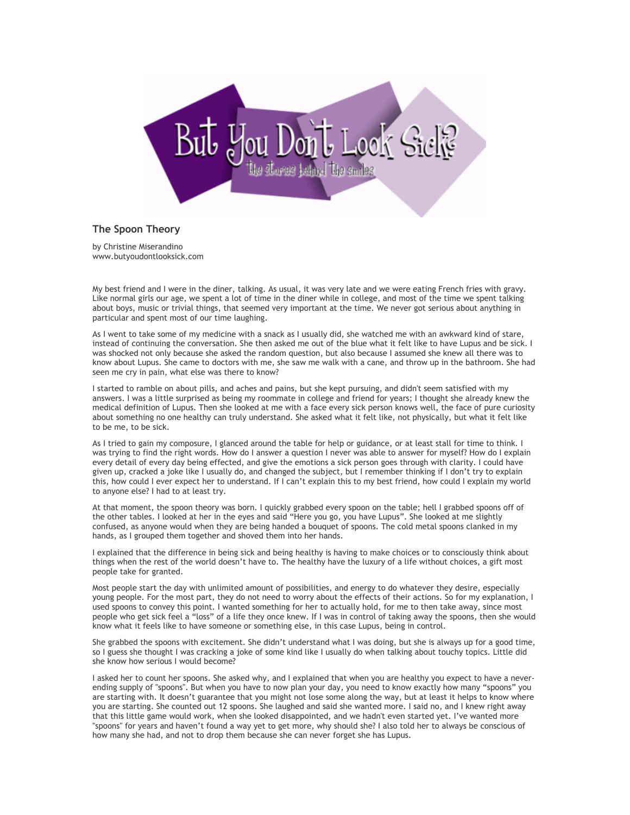

## **The Spoon Theory**

by Christine Miserandino www.butyoudontlooksick.com

My best friend and I were in the diner, talking. As usual, it was very late and we were eating French fries with gravy. Like normal girls our age, we spent a lot of time in the diner while in college, and most of the time we spent talking about boys, music or trivial things, that seemed very important at the time. We never got serious about anything in particular and spent most of our time laughing.

As I went to take some of my medicine with a snack as I usually did, she watched me with an awkward kind of stare, instead of continuing the conversation. She then asked me out of the blue what it felt like to have Lupus and be sick. I was shocked not only because she asked the random question, but also because I assumed she knew all there was to know about Lupus. She came to doctors with me, she saw me walk with a cane, and throw up in the bathroom. She had seen me cry in pain, what else was there to know?

I started to ramble on about pills, and aches and pains, but she kept pursuing, and didn't seem satisfied with my answers. I was a little surprised as being my roommate in college and friend for years; I thought she already knew the medical definition of Lupus. Then she looked at me with a face every sick person knows well, the face of pure curiosity about something no one healthy can truly understand. She asked what it felt like, not physically, but what it felt like to be me, to be sick.

As I tried to gain my composure, I glanced around the table for help or guidance, or at least stall for time to think. I was trying to find the right words. How do I answer a question I never was able to answer for myself? How do I explain every detail of every day being effected, and give the emotions a sick person goes through with clarity. I could have given up, cracked a joke like I usually do, and changed the subject, but I remember thinking if I don't try to explain this, how could I ever expect her to understand. If I can't explain this to my best friend, how could I explain my world to anyone else? I had to at least try.

At that moment, the spoon theory was born. I quickly grabbed every spoon on the table; hell I grabbed spoons off of the other tables. I looked at her in the eyes and said "Here you go, you have Lupus". She looked at me slightly confused, as anyone would when they are being handed a bouquet of spoons. The cold metal spoons clanked in my hands, as I grouped them together and shoved them into her hands.

I explained that the difference in being sick and being healthy is having to make choices or to consciously think about things when the rest of the world doesn't have to. The healthy have the luxury of a life without choices, a gift most people take for granted.

Most people start the day with unlimited amount of possibilities, and energy to do whatever they desire, especially young people. For the most part, they do not need to worry about the effects of their actions. So for my explanation, I used spoons to convey this point. I wanted something for her to actually hold, for me to then take away, since most people who get sick feel a "loss" of a life they once knew. If I was in control of taking away the spoons, then she would know what it feels like to have someone or something else, in this case Lupus, being in control.

She grabbed the spoons with excitement. She didn't understand what I was doing, but she is always up for a good time, so I guess she thought I was cracking a joke of some kind like I usually do when talking about touchy topics. Little did she know how serious I would become?

I asked her to count her spoons. She asked why, and I explained that when you are healthy you expect to have a neverending supply of "spoons". But when you have to now plan your day, you need to know exactly how many "spoons" you are starting with. It doesn't guarantee that you might not lose some along the way, but at least it helps to know where you are starting. She counted out 12 spoons. She laughed and said she wanted more. I said no, and I knew right away that this little game would work, when she looked disappointed, and we hadn't even started yet. I've wanted more "spoons" for years and haven't found a way yet to get more, why should she? I also told her to always be conscious of how many she had, and not to drop them because she can never forget she has Lupus.